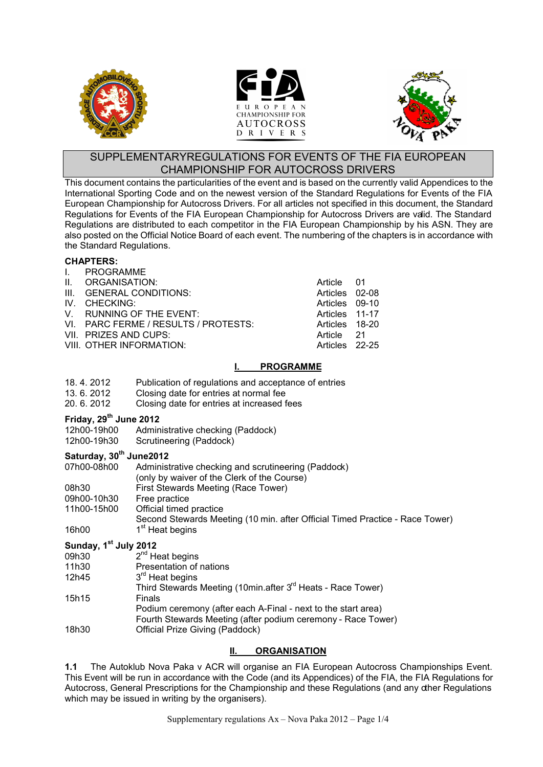





# SUPPLEMENTARYREGULATIONS FOR EVENTS OF THE FIA EUROPEAN CHAMPIONSHIP FOR AUTOCROSS DRIVERS

This document contains the particularities of the event and is based on the currently valid Appendices to the International Sporting Code and on the newest version of the Standard Regulations for Events of the FIA European Championship for Autocross Drivers. For all articles not specified in this document, the Standard Regulations for Events of the FIA European Championship for Autocross Drivers are valid. The Standard Regulations are distributed to each competitor in the FIA European Championship by his ASN. They are also posted on the Official Notice Board of each event. The numbering of the chapters is in accordance with the Standard Regulations.

#### **CHAPTERS:**

- I. PROGRAMME
- 
- II. ORGANISATION: Article 01 III. GENERAL CONDITIONS: Articles 02-08<br>IV. CHECKING: Articles 09-10
- IV. CHECKING:
- V. RUNNING OF THE EVENT: Articles 11-17
- VI. PARC FERME / RESULTS / PROTESTS: Articles 18-20
- VII. PRIZES AND CUPS:  $\overline{a}$  and  $\overline{a}$  article 21
- VIII. OTHER INFORMATION: The Contract of the Articles 22-25

# **I. PROGRAMME**

- 18. 4. 2012 Publication of regulations and acceptance of entries<br>13. 6. 2012 Closing date for entries at normal fee
- Closing date for entries at normal fee
- 20. 6. 2012 Closing date for entries at increased fees

## **Friday, 29th June 2012**

- 12h00-19h00 Administrative checking (Paddock)<br>12h00-19h30 Scrutineering (Paddock)
- Scrutineering (Paddock)

# **Saturday, 30th June2012**

| 07h00-08h00 | Administrative checking and scrutineering (Paddock)                          |  |  |
|-------------|------------------------------------------------------------------------------|--|--|
|             | (only by waiver of the Clerk of the Course)                                  |  |  |
| 08h30       | First Stewards Meeting (Race Tower)                                          |  |  |
| 09h00-10h30 | Free practice                                                                |  |  |
| 11h00-15h00 | Official timed practice                                                      |  |  |
|             | Second Stewards Meeting (10 min. after Official Timed Practice - Race Tower) |  |  |
| 16h00       | 1 <sup>st</sup> Heat begins                                                  |  |  |

#### **Sunday, 1 st July 2012**

| 09h30 | $2^{nd}$ Heat begins                                                    |
|-------|-------------------------------------------------------------------------|
| 11h30 | Presentation of nations                                                 |
| 12h45 | 3 <sup>rd</sup> Heat begins                                             |
|       | Third Stewards Meeting (10min.after 3 <sup>rd</sup> Heats - Race Tower) |
| 15h15 | Finals                                                                  |
|       | Podium ceremony (after each A-Final - next to the start area)           |
|       | Fourth Stewards Meeting (after podium ceremony - Race Tower)            |
| 18h30 | Official Prize Giving (Paddock)                                         |

# **II. ORGANISATION**

**1.1** The Autoklub Nova Paka v ACR will organise an FIA European Autocross Championships Event. This Event will be run in accordance with the Code (and its Appendices) of the FIA, the FIA Regulations for Autocross, General Prescriptions for the Championship and these Regulations (and any other Regulations which may be issued in writing by the organisers).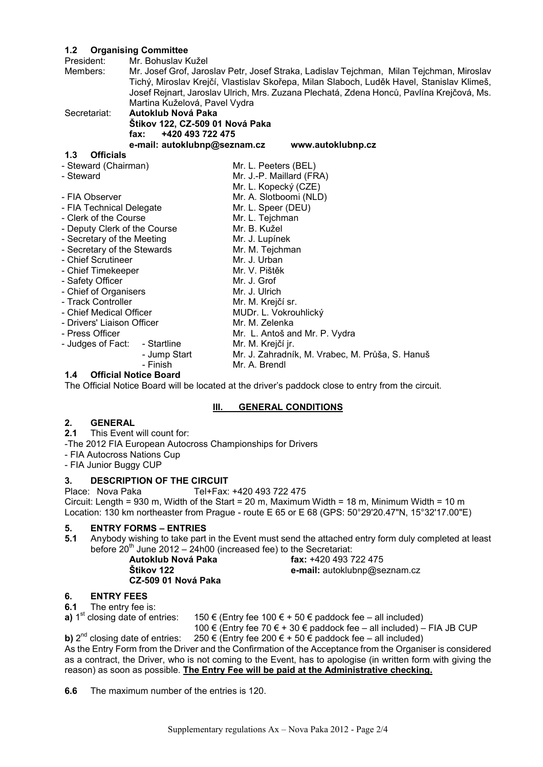## **1.2 Organising Committee**

| Mr. Bohuslav Kužel              |                                                                                                                                                                                                                                                                                                                                                                                |  |  |
|---------------------------------|--------------------------------------------------------------------------------------------------------------------------------------------------------------------------------------------------------------------------------------------------------------------------------------------------------------------------------------------------------------------------------|--|--|
|                                 | Mr. Josef Grof, Jaroslav Petr, Josef Straka, Ladislav Tejchman, Milan Tejchman, Miroslav<br>Tichý, Miroslav Krejčí, Vlastislav Skořepa, Milan Slaboch, Luděk Havel, Stanislav Klimeš,                                                                                                                                                                                          |  |  |
|                                 | Josef Rejnart, Jaroslav Ulrich, Mrs. Zuzana Plechatá, Zdena Honců, Pavlína Krejčová, Ms.                                                                                                                                                                                                                                                                                       |  |  |
| Martina Kuželová, Pavel Vydra   |                                                                                                                                                                                                                                                                                                                                                                                |  |  |
| Autoklub Nová Paka              |                                                                                                                                                                                                                                                                                                                                                                                |  |  |
| Štikov 122, CZ-509 01 Nová Paka |                                                                                                                                                                                                                                                                                                                                                                                |  |  |
| +420 493 722 475<br>fax:        |                                                                                                                                                                                                                                                                                                                                                                                |  |  |
| e-mail: autoklubnp@seznam.cz    | www.autoklubnp.cz                                                                                                                                                                                                                                                                                                                                                              |  |  |
|                                 |                                                                                                                                                                                                                                                                                                                                                                                |  |  |
|                                 | Mr. L. Peeters (BEL)                                                                                                                                                                                                                                                                                                                                                           |  |  |
|                                 | Mr. J.-P. Maillard (FRA)                                                                                                                                                                                                                                                                                                                                                       |  |  |
|                                 | Mr. L. Kopecký (CZE)                                                                                                                                                                                                                                                                                                                                                           |  |  |
|                                 | Mr. A. Slotboomi (NLD)                                                                                                                                                                                                                                                                                                                                                         |  |  |
|                                 | Mr. L. Speer (DEU)                                                                                                                                                                                                                                                                                                                                                             |  |  |
|                                 | Mr. L. Tejchman                                                                                                                                                                                                                                                                                                                                                                |  |  |
|                                 | Mr. B. Kužel                                                                                                                                                                                                                                                                                                                                                                   |  |  |
|                                 | Mr. J. Lupínek                                                                                                                                                                                                                                                                                                                                                                 |  |  |
|                                 | Mr. M. Tejchman                                                                                                                                                                                                                                                                                                                                                                |  |  |
|                                 | Mr. J. Urban                                                                                                                                                                                                                                                                                                                                                                   |  |  |
|                                 | Mr. V. Pištěk                                                                                                                                                                                                                                                                                                                                                                  |  |  |
|                                 | Mr. J. Grof                                                                                                                                                                                                                                                                                                                                                                    |  |  |
|                                 | Mr. J. Ulrich                                                                                                                                                                                                                                                                                                                                                                  |  |  |
|                                 | Mr. M. Krejčí sr.                                                                                                                                                                                                                                                                                                                                                              |  |  |
|                                 | MUDr. L. Vokrouhlický                                                                                                                                                                                                                                                                                                                                                          |  |  |
|                                 | Mr. M. Zelenka                                                                                                                                                                                                                                                                                                                                                                 |  |  |
|                                 | Mr. L. Antoš and Mr. P. Vydra                                                                                                                                                                                                                                                                                                                                                  |  |  |
|                                 | Mr. M. Krejčí jr.                                                                                                                                                                                                                                                                                                                                                              |  |  |
|                                 | Mr. J. Zahradník, M. Vrabec, M. Průša, S. Hanuš                                                                                                                                                                                                                                                                                                                                |  |  |
| - Finish                        | Mr. A. Brendl                                                                                                                                                                                                                                                                                                                                                                  |  |  |
|                                 | - Steward (Chairman)<br>- FIA Technical Delegate<br>- Clerk of the Course<br>- Deputy Clerk of the Course<br>- Secretary of the Meeting<br>- Secretary of the Stewards<br>- Chief Scrutineer<br>- Chief Timekeeper<br>- Chief of Organisers<br>- Track Controller<br>- Chief Medical Officer<br>- Drivers' Liaison Officer<br>- Judges of Fact:<br>- Startline<br>- Jump Start |  |  |

#### **1.4 Official Notice Board**

The Official Notice Board will be located at the driver's paddock close to entry from the circuit.

#### **III. GENERAL CONDITIONS**

# 2. **GENERAL**<br>2.1 This Event

- **2.1** This Event will count for:
- -The 2012 FIA European Autocross Championships for Drivers
- FIA Autocross Nations Cup
- FIA Junior Buggy CUP

#### **3. DESCRIPTION OF THE CIRCUIT**

Place: Nova Paka Tel+Fax: +420 493 722 475 Circuit: Length = 930 m, Width of the Start = 20 m, Maximum Width = 18 m, Minimum Width = 10 m

Location: 130 km northeaster from Prague - route E 65 or E 68 (GPS: 50°29'20.47"N, 15°32'17.00"E)

#### **5. ENTRY FORMS – ENTRIES**

**5.1** Anybody wishing to take part in the Event must send the attached entry form duly completed at least before 20<sup>th</sup> June 2012 - 24h00 (increased fee) to the Secretariat:

| Autoklub Nová Paka  | fax: $+420$ 493 722 475      |
|---------------------|------------------------------|
| Štikov 122          | e-mail: autoklubnp@seznam.cz |
| CZ-509 01 Nová Paka |                              |

#### **6. ENTRY FEES**

**6.1** The entry fee is:

**a)** 1<sup>st</sup> closing date of entries: 150 € (Entry fee 100 € + 50 € paddock fee – all included)

100 € (Entry fee 70 € + 30 € paddock fee – all included) – FIA JB CUP 250 € (Entry fee 200 € + 50 € paddock fee – all included)

**b)**  $2^{nd}$  closing date of entries: As the Entry Form from the Driver and the Confirmation of the Acceptance from the Organiser is considered as a contract, the Driver, who is not coming to the Event, has to apologise (in written form with giving the reason) as soon as possible. **The Entry Fee will be paid at the Administrative checking.**

**6.6** The maximum number of the entries is 120.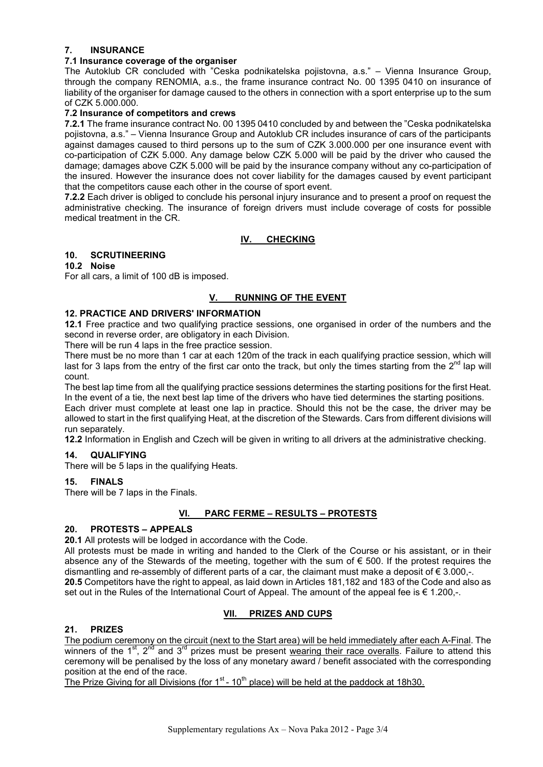# **7. INSURANCE**

#### **7.1 Insurance coverage of the organiser**

The Autoklub CR concluded with "Ceska podnikatelska pojistovna, a.s." – Vienna Insurance Group, through the company RENOMIA, a.s., the frame insurance contract No. 00 1395 0410 on insurance of liability of the organiser for damage caused to the others in connection with a sport enterprise up to the sum of CZK 5.000.000.

#### **7.2 Insurance of competitors and crews**

**7.2.1** The frame insurance contract No. 00 1395 0410 concluded by and between the "Ceska podnikatelska pojistovna, a.s." – Vienna Insurance Group and Autoklub CR includes insurance of cars of the participants against damages caused to third persons up to the sum of CZK 3.000.000 per one insurance event with co-participation of CZK 5.000. Any damage below CZK 5.000 will be paid by the driver who caused the damage; damages above CZK 5.000 will be paid by the insurance company without any co-participation of the insured. However the insurance does not cover liability for the damages caused by event participant that the competitors cause each other in the course of sport event.

**7.2.2** Each driver is obliged to conclude his personal injury insurance and to present a proof on request the administrative checking. The insurance of foreign drivers must include coverage of costs for possible medical treatment in the CR.

# **IV. CHECKING**

## **10. SCRUTINEERING**

# **10.2 Noise**

For all cars, a limit of 100 dB is imposed.

# **V. RUNNING OF THE EVENT**

## **12. PRACTICE AND DRIVERS' INFORMATION**

**12.1** Free practice and two qualifying practice sessions, one organised in order of the numbers and the second in reverse order, are obligatory in each Division.

There will be run 4 laps in the free practice session.

There must be no more than 1 car at each 120m of the track in each qualifying practice session, which will last for 3 laps from the entry of the first car onto the track, but only the times starting from the  $2^{nd}$  lap will count.

The best lap time from all the qualifying practice sessions determines the starting positions for the first Heat. In the event of a tie, the next best lap time of the drivers who have tied determines the starting positions. Each driver must complete at least one lap in practice. Should this not be the case, the driver may be allowed to start in the first qualifying Heat, at the discretion of the Stewards. Cars from different divisions will run separately.

**12.2** Information in English and Czech will be given in writing to all drivers at the administrative checking.

# **14. QUALIFYING**

There will be 5 laps in the qualifying Heats.

# **15. FINALS**

There will be 7 laps in the Finals.

# **VI. PARC FERME – RESULTS – PROTESTS**

# **20. PROTESTS – APPEALS**

**20.1** All protests will be lodged in accordance with the Code.

All protests must be made in writing and handed to the Clerk of the Course or his assistant, or in their absence any of the Stewards of the meeting, together with the sum of  $\epsilon$  500. If the protest requires the dismantling and re-assembly of different parts of a car, the claimant must make a deposit of  $\epsilon$  3.000,-. **20.5** Competitors have the right to appeal, as laid down in Articles 181,182 and 183 of the Code and also as set out in the Rules of the International Court of Appeal. The amount of the appeal fee is  $\epsilon$  1.200,-.

# **VII. PRIZES AND CUPS**

# **21. PRIZES**

The podium ceremony on the circuit (next to the Start area) will be held immediately after each A-Final. The winners of the  $1<sup>st</sup>$ ,  $2<sup>nd</sup>$  and  $3<sup>rd</sup>$  prizes must be present wearing their race overalls. Failure to attend this ceremony will be penalised by the loss of any monetary award / benefit associated with the corresponding position at the end of the race.

The Prize Giving for all Divisions (for  $1<sup>st</sup>$  - 10<sup>th</sup> place) will be held at the paddock at 18h30.